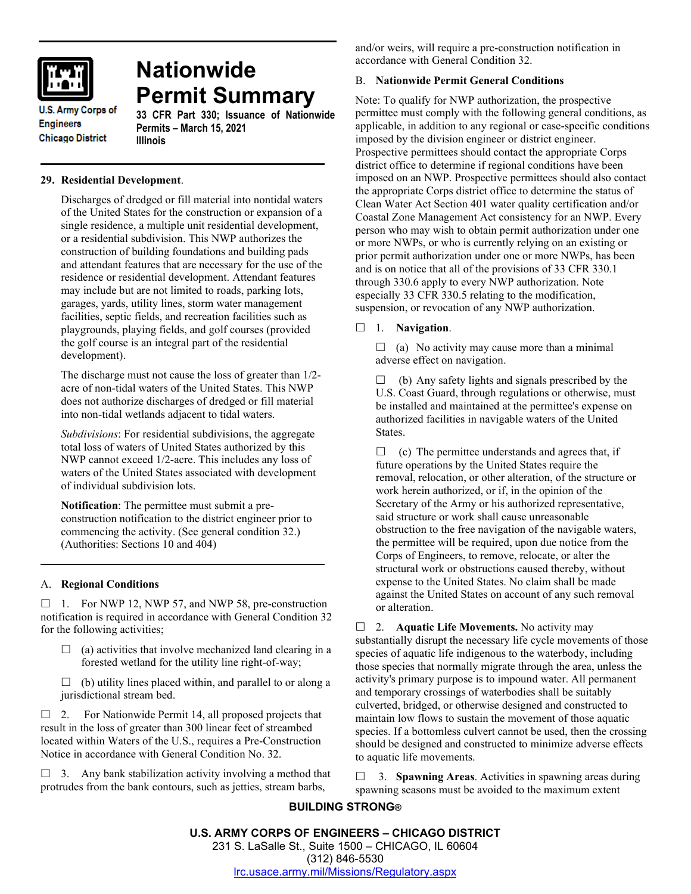

# **Nationwide Permit Summary**

**U.S. Army Corps of Engineers Chicago District** 

**33 CFR Part 330; Issuance of Nationwide Permits – March 15, 2021 Illinois**

# **29. Residential Development**.

Discharges of dredged or fill material into nontidal waters of the United States for the construction or expansion of a single residence, a multiple unit residential development, or a residential subdivision. This NWP authorizes the construction of building foundations and building pads and attendant features that are necessary for the use of the residence or residential development. Attendant features may include but are not limited to roads, parking lots, garages, yards, utility lines, storm water management facilities, septic fields, and recreation facilities such as playgrounds, playing fields, and golf courses (provided the golf course is an integral part of the residential development).

The discharge must not cause the loss of greater than 1/2 acre of non-tidal waters of the United States. This NWP does not authorize discharges of dredged or fill material into non-tidal wetlands adjacent to tidal waters.

*Subdivisions*: For residential subdivisions, the aggregate total loss of waters of United States authorized by this NWP cannot exceed 1/2-acre. This includes any loss of waters of the United States associated with development of individual subdivision lots.

**Notification**: The permittee must submit a preconstruction notification to the district engineer prior to commencing the activity. (See general condition 32.) (Authorities: Sections 10 and 404)

## A. **Regional Conditions**

 $\Box$  1. For NWP 12, NWP 57, and NWP 58, pre-construction notification is required in accordance with General Condition 32 for the following activities;

- $\Box$  (a) activities that involve mechanized land clearing in a forested wetland for the utility line right-of-way;
- $\Box$  (b) utility lines placed within, and parallel to or along a jurisdictional stream bed.

 $\Box$  2. For Nationwide Permit 14, all proposed projects that result in the loss of greater than 300 linear feet of streambed located within Waters of the U.S., requires a Pre-Construction Notice in accordance with General Condition No. 32.

 $\Box$  3. Any bank stabilization activity involving a method that protrudes from the bank contours, such as jetties, stream barbs,

and/or weirs, will require a pre-construction notification in accordance with General Condition 32.

## B. **Nationwide Permit General Conditions**

Note: To qualify for NWP authorization, the prospective permittee must comply with the following general conditions, as applicable, in addition to any regional or case-specific conditions imposed by the division engineer or district engineer. Prospective permittees should contact the appropriate Corps district office to determine if regional conditions have been imposed on an NWP. Prospective permittees should also contact the appropriate Corps district office to determine the status of Clean Water Act Section 401 water quality certification and/or Coastal Zone Management Act consistency for an NWP. Every person who may wish to obtain permit authorization under one or more NWPs, or who is currently relying on an existing or prior permit authorization under one or more NWPs, has been and is on notice that all of the provisions of 33 CFR 330.1 through 330.6 apply to every NWP authorization. Note especially 33 CFR 330.5 relating to the modification, suspension, or revocation of any NWP authorization.

### 1. **Navigation**.

 $\Box$  (a) No activity may cause more than a minimal adverse effect on navigation.

 $\Box$  (b) Any safety lights and signals prescribed by the U.S. Coast Guard, through regulations or otherwise, must be installed and maintained at the permittee's expense on authorized facilities in navigable waters of the United States.

 $\Box$  (c) The permittee understands and agrees that, if future operations by the United States require the removal, relocation, or other alteration, of the structure or work herein authorized, or if, in the opinion of the Secretary of the Army or his authorized representative, said structure or work shall cause unreasonable obstruction to the free navigation of the navigable waters, the permittee will be required, upon due notice from the Corps of Engineers, to remove, relocate, or alter the structural work or obstructions caused thereby, without expense to the United States. No claim shall be made against the United States on account of any such removal or alteration.

□ 2. **Aquatic Life Movements.** No activity may substantially disrupt the necessary life cycle movements of those species of aquatic life indigenous to the waterbody, including those species that normally migrate through the area, unless the activity's primary purpose is to impound water. All permanent and temporary crossings of waterbodies shall be suitably culverted, bridged, or otherwise designed and constructed to maintain low flows to sustain the movement of those aquatic species. If a bottomless culvert cannot be used, then the crossing should be designed and constructed to minimize adverse effects to aquatic life movements.

 3. **Spawning Areas**. Activities in spawning areas during spawning seasons must be avoided to the maximum extent

# **BUILDING STRONG®**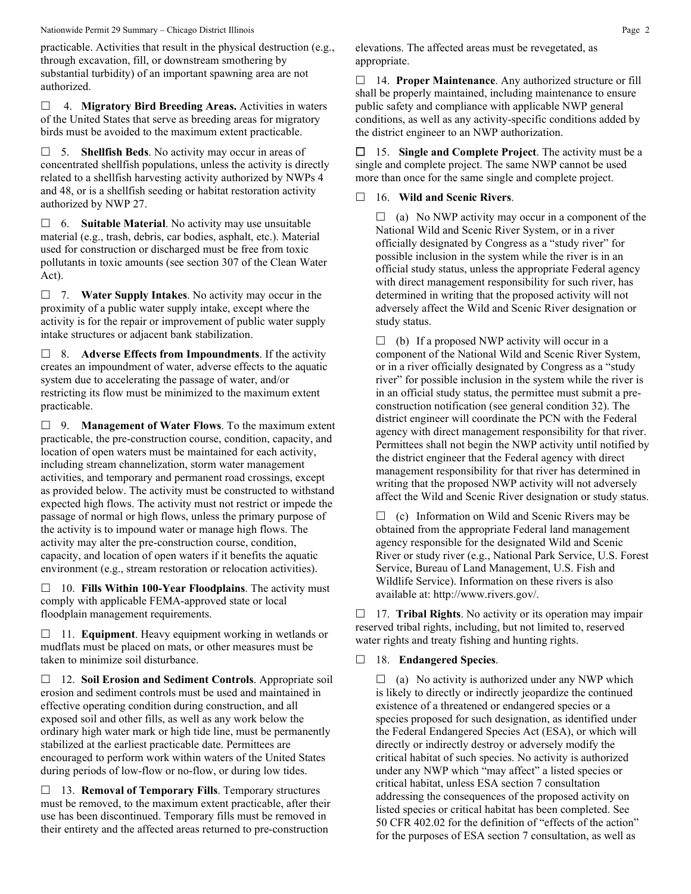Nationwide Permit 29 Summary – Chicago District Illinois **Page 2** Page 2

practicable. Activities that result in the physical destruction (e.g., through excavation, fill, or downstream smothering by substantial turbidity) of an important spawning area are not authorized.

 4. **Migratory Bird Breeding Areas.** Activities in waters of the United States that serve as breeding areas for migratory birds must be avoided to the maximum extent practicable.

 5. **Shellfish Beds**. No activity may occur in areas of concentrated shellfish populations, unless the activity is directly related to a shellfish harvesting activity authorized by NWPs 4 and 48, or is a shellfish seeding or habitat restoration activity authorized by NWP 27.

 6. **Suitable Material**. No activity may use unsuitable material (e.g., trash, debris, car bodies, asphalt, etc.). Material used for construction or discharged must be free from toxic pollutants in toxic amounts (see section 307 of the Clean Water Act).

 7. **Water Supply Intakes**. No activity may occur in the proximity of a public water supply intake, except where the activity is for the repair or improvement of public water supply intake structures or adjacent bank stabilization.

 8. **Adverse Effects from Impoundments**. If the activity creates an impoundment of water, adverse effects to the aquatic system due to accelerating the passage of water, and/or restricting its flow must be minimized to the maximum extent practicable.

 9. **Management of Water Flows**. To the maximum extent practicable, the pre-construction course, condition, capacity, and location of open waters must be maintained for each activity, including stream channelization, storm water management activities, and temporary and permanent road crossings, except as provided below. The activity must be constructed to withstand expected high flows. The activity must not restrict or impede the passage of normal or high flows, unless the primary purpose of the activity is to impound water or manage high flows. The activity may alter the pre-construction course, condition, capacity, and location of open waters if it benefits the aquatic environment (e.g., stream restoration or relocation activities).

 10. **Fills Within 100-Year Floodplains**. The activity must comply with applicable FEMA-approved state or local floodplain management requirements.

□ 11. **Equipment**. Heavy equipment working in wetlands or mudflats must be placed on mats, or other measures must be taken to minimize soil disturbance.

 12. **Soil Erosion and Sediment Controls**. Appropriate soil erosion and sediment controls must be used and maintained in effective operating condition during construction, and all exposed soil and other fills, as well as any work below the ordinary high water mark or high tide line, must be permanently stabilized at the earliest practicable date. Permittees are encouraged to perform work within waters of the United States during periods of low-flow or no-flow, or during low tides.

 13. **Removal of Temporary Fills**. Temporary structures must be removed, to the maximum extent practicable, after their use has been discontinued. Temporary fills must be removed in their entirety and the affected areas returned to pre-construction

elevations. The affected areas must be revegetated, as appropriate.

 14. **Proper Maintenance**. Any authorized structure or fill shall be properly maintained, including maintenance to ensure public safety and compliance with applicable NWP general conditions, as well as any activity-specific conditions added by the district engineer to an NWP authorization.

 15. **Single and Complete Project**. The activity must be a single and complete project. The same NWP cannot be used more than once for the same single and complete project.

# 16. **Wild and Scenic Rivers**.

 $\Box$  (a) No NWP activity may occur in a component of the National Wild and Scenic River System, or in a river officially designated by Congress as a "study river" for possible inclusion in the system while the river is in an official study status, unless the appropriate Federal agency with direct management responsibility for such river, has determined in writing that the proposed activity will not adversely affect the Wild and Scenic River designation or study status.

 $\Box$  (b) If a proposed NWP activity will occur in a component of the National Wild and Scenic River System, or in a river officially designated by Congress as a "study river" for possible inclusion in the system while the river is in an official study status, the permittee must submit a preconstruction notification (see general condition 32). The district engineer will coordinate the PCN with the Federal agency with direct management responsibility for that river. Permittees shall not begin the NWP activity until notified by the district engineer that the Federal agency with direct management responsibility for that river has determined in writing that the proposed NWP activity will not adversely affect the Wild and Scenic River designation or study status.

 $\Box$  (c) Information on Wild and Scenic Rivers may be obtained from the appropriate Federal land management agency responsible for the designated Wild and Scenic River or study river (e.g., National Park Service, U.S. Forest Service, Bureau of Land Management, U.S. Fish and Wildlife Service). Information on these rivers is also available at: http://www.rivers.gov/.

 17. **Tribal Rights**. No activity or its operation may impair reserved tribal rights, including, but not limited to, reserved water rights and treaty fishing and hunting rights.

## 18. **Endangered Species**.

 $\Box$  (a) No activity is authorized under any NWP which is likely to directly or indirectly jeopardize the continued existence of a threatened or endangered species or a species proposed for such designation, as identified under the Federal Endangered Species Act (ESA), or which will directly or indirectly destroy or adversely modify the critical habitat of such species. No activity is authorized under any NWP which "may affect" a listed species or critical habitat, unless ESA section 7 consultation addressing the consequences of the proposed activity on listed species or critical habitat has been completed. See 50 CFR 402.02 for the definition of "effects of the action" for the purposes of ESA section 7 consultation, as well as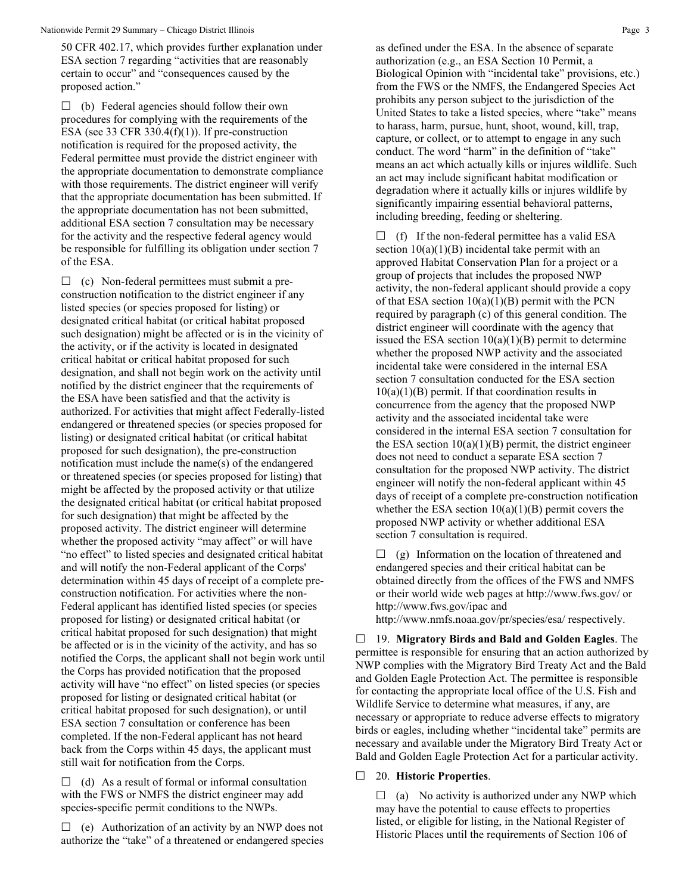50 CFR 402.17, which provides further explanation under ESA section 7 regarding "activities that are reasonably certain to occur" and "consequences caused by the proposed action."

 $\Box$  (b) Federal agencies should follow their own procedures for complying with the requirements of the ESA (see 33 CFR 330.4 $(f)(1)$ ). If pre-construction notification is required for the proposed activity, the Federal permittee must provide the district engineer with the appropriate documentation to demonstrate compliance with those requirements. The district engineer will verify that the appropriate documentation has been submitted. If the appropriate documentation has not been submitted, additional ESA section 7 consultation may be necessary for the activity and the respective federal agency would be responsible for fulfilling its obligation under section 7 of the ESA.

 $\Box$  (c) Non-federal permittees must submit a preconstruction notification to the district engineer if any listed species (or species proposed for listing) or designated critical habitat (or critical habitat proposed such designation) might be affected or is in the vicinity of the activity, or if the activity is located in designated critical habitat or critical habitat proposed for such designation, and shall not begin work on the activity until notified by the district engineer that the requirements of the ESA have been satisfied and that the activity is authorized. For activities that might affect Federally-listed endangered or threatened species (or species proposed for listing) or designated critical habitat (or critical habitat proposed for such designation), the pre-construction notification must include the name(s) of the endangered or threatened species (or species proposed for listing) that might be affected by the proposed activity or that utilize the designated critical habitat (or critical habitat proposed for such designation) that might be affected by the proposed activity. The district engineer will determine whether the proposed activity "may affect" or will have "no effect" to listed species and designated critical habitat and will notify the non-Federal applicant of the Corps' determination within 45 days of receipt of a complete preconstruction notification. For activities where the non-Federal applicant has identified listed species (or species proposed for listing) or designated critical habitat (or critical habitat proposed for such designation) that might be affected or is in the vicinity of the activity, and has so notified the Corps, the applicant shall not begin work until the Corps has provided notification that the proposed activity will have "no effect" on listed species (or species proposed for listing or designated critical habitat (or critical habitat proposed for such designation), or until ESA section 7 consultation or conference has been completed. If the non-Federal applicant has not heard back from the Corps within 45 days, the applicant must still wait for notification from the Corps.

 $\Box$  (d) As a result of formal or informal consultation with the FWS or NMFS the district engineer may add species-specific permit conditions to the NWPs.

 $\Box$  (e) Authorization of an activity by an NWP does not authorize the "take" of a threatened or endangered species as defined under the ESA. In the absence of separate authorization (e.g., an ESA Section 10 Permit, a Biological Opinion with "incidental take" provisions, etc.) from the FWS or the NMFS, the Endangered Species Act prohibits any person subject to the jurisdiction of the United States to take a listed species, where "take" means to harass, harm, pursue, hunt, shoot, wound, kill, trap, capture, or collect, or to attempt to engage in any such conduct. The word "harm" in the definition of "take" means an act which actually kills or injures wildlife. Such an act may include significant habitat modification or degradation where it actually kills or injures wildlife by significantly impairing essential behavioral patterns, including breeding, feeding or sheltering.

 $\Box$  (f) If the non-federal permittee has a valid ESA section  $10(a)(1)(B)$  incidental take permit with an approved Habitat Conservation Plan for a project or a group of projects that includes the proposed NWP activity, the non-federal applicant should provide a copy of that ESA section  $10(a)(1)(B)$  permit with the PCN required by paragraph (c) of this general condition. The district engineer will coordinate with the agency that issued the ESA section  $10(a)(1)(B)$  permit to determine whether the proposed NWP activity and the associated incidental take were considered in the internal ESA section 7 consultation conducted for the ESA section  $10(a)(1)(B)$  permit. If that coordination results in concurrence from the agency that the proposed NWP activity and the associated incidental take were considered in the internal ESA section 7 consultation for the ESA section  $10(a)(1)(B)$  permit, the district engineer does not need to conduct a separate ESA section 7 consultation for the proposed NWP activity. The district engineer will notify the non-federal applicant within 45 days of receipt of a complete pre-construction notification whether the ESA section  $10(a)(1)(B)$  permit covers the proposed NWP activity or whether additional ESA section 7 consultation is required.

 $\Box$  (g) Information on the location of threatened and endangered species and their critical habitat can be obtained directly from the offices of the FWS and NMFS or their world wide web pages at http://www.fws.gov/ or http://www.fws.gov/ipac and http://www.nmfs.noaa.gov/pr/species/esa/ respectively.

 19. **Migratory Birds and Bald and Golden Eagles**. The permittee is responsible for ensuring that an action authorized by NWP complies with the Migratory Bird Treaty Act and the Bald and Golden Eagle Protection Act. The permittee is responsible for contacting the appropriate local office of the U.S. Fish and Wildlife Service to determine what measures, if any, are necessary or appropriate to reduce adverse effects to migratory birds or eagles, including whether "incidental take" permits are necessary and available under the Migratory Bird Treaty Act or Bald and Golden Eagle Protection Act for a particular activity.

#### 20. **Historic Properties**.

 $\Box$  (a) No activity is authorized under any NWP which may have the potential to cause effects to properties listed, or eligible for listing, in the National Register of Historic Places until the requirements of Section 106 of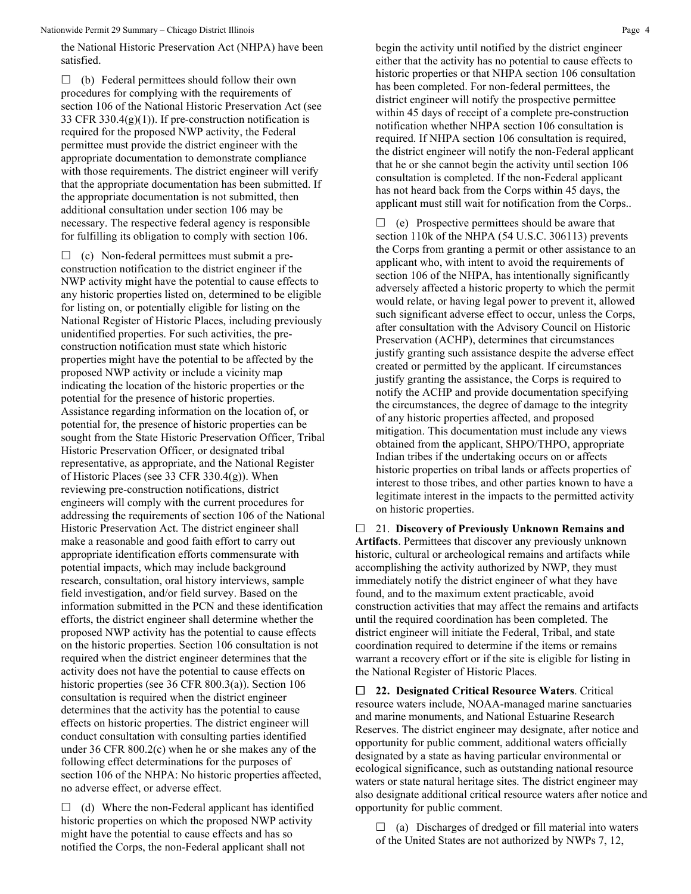the National Historic Preservation Act (NHPA) have been satisfied.

 $\Box$  (b) Federal permittees should follow their own procedures for complying with the requirements of section 106 of the National Historic Preservation Act (see 33 CFR 330.4(g)(1)). If pre-construction notification is required for the proposed NWP activity, the Federal permittee must provide the district engineer with the appropriate documentation to demonstrate compliance with those requirements. The district engineer will verify that the appropriate documentation has been submitted. If the appropriate documentation is not submitted, then additional consultation under section 106 may be necessary. The respective federal agency is responsible for fulfilling its obligation to comply with section 106.

 $\Box$  (c) Non-federal permittees must submit a preconstruction notification to the district engineer if the NWP activity might have the potential to cause effects to any historic properties listed on, determined to be eligible for listing on, or potentially eligible for listing on the National Register of Historic Places, including previously unidentified properties. For such activities, the preconstruction notification must state which historic properties might have the potential to be affected by the proposed NWP activity or include a vicinity map indicating the location of the historic properties or the potential for the presence of historic properties. Assistance regarding information on the location of, or potential for, the presence of historic properties can be sought from the State Historic Preservation Officer, Tribal Historic Preservation Officer, or designated tribal representative, as appropriate, and the National Register of Historic Places (see 33 CFR 330.4(g)). When reviewing pre-construction notifications, district engineers will comply with the current procedures for addressing the requirements of section 106 of the National Historic Preservation Act. The district engineer shall make a reasonable and good faith effort to carry out appropriate identification efforts commensurate with potential impacts, which may include background research, consultation, oral history interviews, sample field investigation, and/or field survey. Based on the information submitted in the PCN and these identification efforts, the district engineer shall determine whether the proposed NWP activity has the potential to cause effects on the historic properties. Section 106 consultation is not required when the district engineer determines that the activity does not have the potential to cause effects on historic properties (see 36 CFR 800.3(a)). Section 106 consultation is required when the district engineer determines that the activity has the potential to cause effects on historic properties. The district engineer will conduct consultation with consulting parties identified under 36 CFR 800.2(c) when he or she makes any of the following effect determinations for the purposes of section 106 of the NHPA: No historic properties affected, no adverse effect, or adverse effect.

 $\Box$  (d) Where the non-Federal applicant has identified historic properties on which the proposed NWP activity might have the potential to cause effects and has so notified the Corps, the non-Federal applicant shall not

begin the activity until notified by the district engineer either that the activity has no potential to cause effects to historic properties or that NHPA section 106 consultation has been completed. For non-federal permittees, the district engineer will notify the prospective permittee within 45 days of receipt of a complete pre-construction notification whether NHPA section 106 consultation is required. If NHPA section 106 consultation is required, the district engineer will notify the non-Federal applicant that he or she cannot begin the activity until section 106 consultation is completed. If the non-Federal applicant has not heard back from the Corps within 45 days, the applicant must still wait for notification from the Corps..

 $\Box$  (e) Prospective permittees should be aware that section 110k of the NHPA (54 U.S.C. 306113) prevents the Corps from granting a permit or other assistance to an applicant who, with intent to avoid the requirements of section 106 of the NHPA, has intentionally significantly adversely affected a historic property to which the permit would relate, or having legal power to prevent it, allowed such significant adverse effect to occur, unless the Corps, after consultation with the Advisory Council on Historic Preservation (ACHP), determines that circumstances justify granting such assistance despite the adverse effect created or permitted by the applicant. If circumstances justify granting the assistance, the Corps is required to notify the ACHP and provide documentation specifying the circumstances, the degree of damage to the integrity of any historic properties affected, and proposed mitigation. This documentation must include any views obtained from the applicant, SHPO/THPO, appropriate Indian tribes if the undertaking occurs on or affects historic properties on tribal lands or affects properties of interest to those tribes, and other parties known to have a legitimate interest in the impacts to the permitted activity on historic properties.

 21. **Discovery of Previously Unknown Remains and Artifacts**. Permittees that discover any previously unknown historic, cultural or archeological remains and artifacts while accomplishing the activity authorized by NWP, they must immediately notify the district engineer of what they have found, and to the maximum extent practicable, avoid construction activities that may affect the remains and artifacts until the required coordination has been completed. The district engineer will initiate the Federal, Tribal, and state coordination required to determine if the items or remains warrant a recovery effort or if the site is eligible for listing in the National Register of Historic Places.

 **22. Designated Critical Resource Waters**. Critical resource waters include, NOAA-managed marine sanctuaries and marine monuments, and National Estuarine Research Reserves. The district engineer may designate, after notice and opportunity for public comment, additional waters officially designated by a state as having particular environmental or ecological significance, such as outstanding national resource waters or state natural heritage sites. The district engineer may also designate additional critical resource waters after notice and opportunity for public comment.

 $\Box$  (a) Discharges of dredged or fill material into waters of the United States are not authorized by NWPs 7, 12,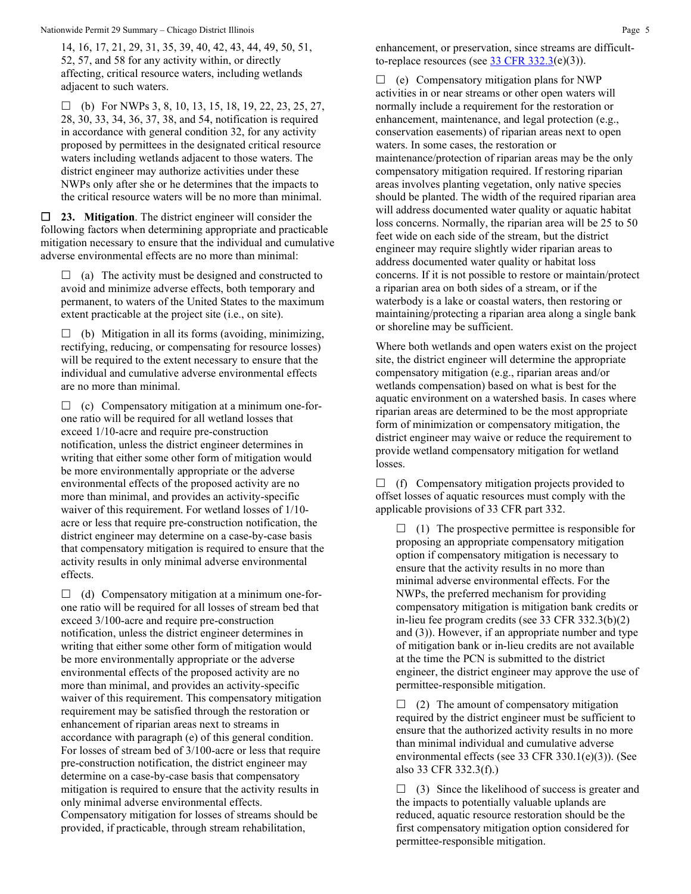Nationwide Permit 29 Summary – Chicago District Illinois **Page 5 Page 5** 

14, 16, 17, 21, 29, 31, 35, 39, 40, 42, 43, 44, 49, 50, 51, 52, 57, and 58 for any activity within, or directly affecting, critical resource waters, including wetlands adjacent to such waters.

 $\Box$  (b) For NWPs 3, 8, 10, 13, 15, 18, 19, 22, 23, 25, 27, 28, 30, 33, 34, 36, 37, 38, and 54, notification is required in accordance with general condition 32, for any activity proposed by permittees in the designated critical resource waters including wetlands adjacent to those waters. The district engineer may authorize activities under these NWPs only after she or he determines that the impacts to the critical resource waters will be no more than minimal.

 **23. Mitigation**. The district engineer will consider the following factors when determining appropriate and practicable mitigation necessary to ensure that the individual and cumulative adverse environmental effects are no more than minimal:

 $\Box$  (a) The activity must be designed and constructed to avoid and minimize adverse effects, both temporary and permanent, to waters of the United States to the maximum extent practicable at the project site (i.e., on site).

 $\Box$  (b) Mitigation in all its forms (avoiding, minimizing, rectifying, reducing, or compensating for resource losses) will be required to the extent necessary to ensure that the individual and cumulative adverse environmental effects are no more than minimal.

 $\Box$  (c) Compensatory mitigation at a minimum one-forone ratio will be required for all wetland losses that exceed 1/10-acre and require pre-construction notification, unless the district engineer determines in writing that either some other form of mitigation would be more environmentally appropriate or the adverse environmental effects of the proposed activity are no more than minimal, and provides an activity-specific waiver of this requirement. For wetland losses of 1/10 acre or less that require pre-construction notification, the district engineer may determine on a case-by-case basis that compensatory mitigation is required to ensure that the activity results in only minimal adverse environmental effects.

 $\Box$  (d) Compensatory mitigation at a minimum one-forone ratio will be required for all losses of stream bed that exceed 3/100-acre and require pre-construction notification, unless the district engineer determines in writing that either some other form of mitigation would be more environmentally appropriate or the adverse environmental effects of the proposed activity are no more than minimal, and provides an activity-specific waiver of this requirement. This compensatory mitigation requirement may be satisfied through the restoration or enhancement of riparian areas next to streams in accordance with paragraph (e) of this general condition. For losses of stream bed of 3/100-acre or less that require pre-construction notification, the district engineer may determine on a case-by-case basis that compensatory mitigation is required to ensure that the activity results in only minimal adverse environmental effects. Compensatory mitigation for losses of streams should be provided, if practicable, through stream rehabilitation,

enhancement, or preservation, since streams are difficultto-replace resources (see  $33 \text{ CFR } 332.3(e)(3)$ ).

 $\Box$  (e) Compensatory mitigation plans for NWP activities in or near streams or other open waters will normally include a requirement for the restoration or enhancement, maintenance, and legal protection (e.g., conservation easements) of riparian areas next to open waters. In some cases, the restoration or maintenance/protection of riparian areas may be the only compensatory mitigation required. If restoring riparian areas involves planting vegetation, only native species should be planted. The width of the required riparian area will address documented water quality or aquatic habitat loss concerns. Normally, the riparian area will be 25 to 50 feet wide on each side of the stream, but the district engineer may require slightly wider riparian areas to address documented water quality or habitat loss concerns. If it is not possible to restore or maintain/protect a riparian area on both sides of a stream, or if the waterbody is a lake or coastal waters, then restoring or maintaining/protecting a riparian area along a single bank or shoreline may be sufficient.

Where both wetlands and open waters exist on the project site, the district engineer will determine the appropriate compensatory mitigation (e.g., riparian areas and/or wetlands compensation) based on what is best for the aquatic environment on a watershed basis. In cases where riparian areas are determined to be the most appropriate form of minimization or compensatory mitigation, the district engineer may waive or reduce the requirement to provide wetland compensatory mitigation for wetland losses.

 $\Box$  (f) Compensatory mitigation projects provided to offset losses of aquatic resources must comply with the applicable provisions of 33 CFR part 332.

 $\Box$  (1) The prospective permittee is responsible for proposing an appropriate compensatory mitigation option if compensatory mitigation is necessary to ensure that the activity results in no more than minimal adverse environmental effects. For the NWPs, the preferred mechanism for providing compensatory mitigation is mitigation bank credits or in-lieu fee program credits (see 33 CFR 332.3(b)(2) and (3)). However, if an appropriate number and type of mitigation bank or in-lieu credits are not available at the time the PCN is submitted to the district engineer, the district engineer may approve the use of permittee-responsible mitigation.

 $\Box$  (2) The amount of compensatory mitigation required by the district engineer must be sufficient to ensure that the authorized activity results in no more than minimal individual and cumulative adverse environmental effects (see 33 CFR 330.1(e)(3)). (See also 33 CFR 332.3(f).)

 $\Box$  (3) Since the likelihood of success is greater and the impacts to potentially valuable uplands are reduced, aquatic resource restoration should be the first compensatory mitigation option considered for permittee-responsible mitigation.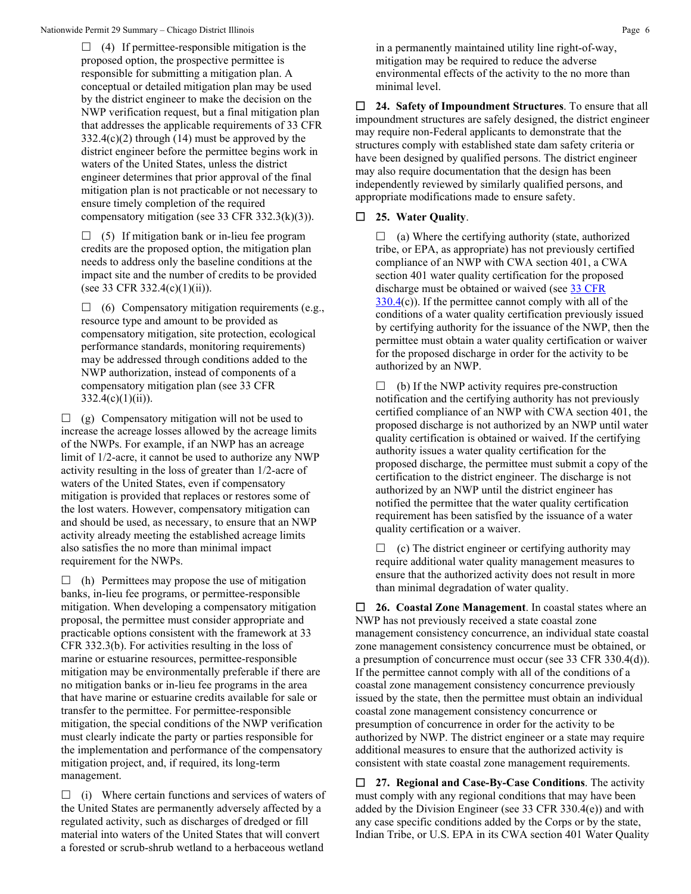$\Box$  (4) If permittee-responsible mitigation is the proposed option, the prospective permittee is responsible for submitting a mitigation plan. A conceptual or detailed mitigation plan may be used by the district engineer to make the decision on the NWP verification request, but a final mitigation plan that addresses the applicable requirements of 33 CFR  $332.4(c)(2)$  through (14) must be approved by the district engineer before the permittee begins work in waters of the United States, unless the district engineer determines that prior approval of the final mitigation plan is not practicable or not necessary to ensure timely completion of the required compensatory mitigation (see 33 CFR 332.3(k)(3)).

 $\Box$  (5) If mitigation bank or in-lieu fee program credits are the proposed option, the mitigation plan needs to address only the baseline conditions at the impact site and the number of credits to be provided (see 33 CFR 332.4(c)(1)(ii)).

 $\Box$  (6) Compensatory mitigation requirements (e.g., resource type and amount to be provided as compensatory mitigation, site protection, ecological performance standards, monitoring requirements) may be addressed through conditions added to the NWP authorization, instead of components of a compensatory mitigation plan (see 33 CFR  $332.4(c)(1)(ii)$ .

 $\Box$  (g) Compensatory mitigation will not be used to increase the acreage losses allowed by the acreage limits of the NWPs. For example, if an NWP has an acreage limit of 1/2-acre, it cannot be used to authorize any NWP activity resulting in the loss of greater than 1/2-acre of waters of the United States, even if compensatory mitigation is provided that replaces or restores some of the lost waters. However, compensatory mitigation can and should be used, as necessary, to ensure that an NWP activity already meeting the established acreage limits also satisfies the no more than minimal impact requirement for the NWPs.

 $\Box$  (h) Permittees may propose the use of mitigation banks, in-lieu fee programs, or permittee-responsible mitigation. When developing a compensatory mitigation proposal, the permittee must consider appropriate and practicable options consistent with the framework at 33 CFR 332.3(b). For activities resulting in the loss of marine or estuarine resources, permittee-responsible mitigation may be environmentally preferable if there are no mitigation banks or in-lieu fee programs in the area that have marine or estuarine credits available for sale or transfer to the permittee. For permittee-responsible mitigation, the special conditions of the NWP verification must clearly indicate the party or parties responsible for the implementation and performance of the compensatory mitigation project, and, if required, its long-term management.

 $\Box$  (i) Where certain functions and services of waters of the United States are permanently adversely affected by a regulated activity, such as discharges of dredged or fill material into waters of the United States that will convert a forested or scrub-shrub wetland to a herbaceous wetland

in a permanently maintained utility line right-of-way, mitigation may be required to reduce the adverse environmental effects of the activity to the no more than minimal level.

 **24. Safety of Impoundment Structures**. To ensure that all impoundment structures are safely designed, the district engineer may require non-Federal applicants to demonstrate that the structures comply with established state dam safety criteria or have been designed by qualified persons. The district engineer may also require documentation that the design has been independently reviewed by similarly qualified persons, and appropriate modifications made to ensure safety.

# **25. Water Quality**.

 $\Box$  (a) Where the certifying authority (state, authorized tribe, or EPA, as appropriate) has not previously certified compliance of an NWP with CWA section 401, a CWA section 401 water quality certification for the proposed discharge must be obtained or waived (see [33 CFR](https://www.federalregister.gov/select-citation/2021/01/13/33-CFR-330.4)   $330.4(c)$  $330.4(c)$ ). If the permittee cannot comply with all of the conditions of a water quality certification previously issued by certifying authority for the issuance of the NWP, then the permittee must obtain a water quality certification or waiver for the proposed discharge in order for the activity to be authorized by an NWP.

 $\Box$  (b) If the NWP activity requires pre-construction notification and the certifying authority has not previously certified compliance of an NWP with CWA section 401, the proposed discharge is not authorized by an NWP until water quality certification is obtained or waived. If the certifying authority issues a water quality certification for the proposed discharge, the permittee must submit a copy of the certification to the district engineer. The discharge is not authorized by an NWP until the district engineer has notified the permittee that the water quality certification requirement has been satisfied by the issuance of a water quality certification or a waiver.

 $\Box$  (c) The district engineer or certifying authority may require additional water quality management measures to ensure that the authorized activity does not result in more than minimal degradation of water quality.

 **26. Coastal Zone Management**. In coastal states where an NWP has not previously received a state coastal zone management consistency concurrence, an individual state coastal zone management consistency concurrence must be obtained, or a presumption of concurrence must occur (see 33 CFR 330.4(d)). If the permittee cannot comply with all of the conditions of a coastal zone management consistency concurrence previously issued by the state, then the permittee must obtain an individual coastal zone management consistency concurrence or presumption of concurrence in order for the activity to be authorized by NWP. The district engineer or a state may require additional measures to ensure that the authorized activity is consistent with state coastal zone management requirements.

 **27. Regional and Case-By-Case Conditions**. The activity must comply with any regional conditions that may have been added by the Division Engineer (see 33 CFR 330.4(e)) and with any case specific conditions added by the Corps or by the state, Indian Tribe, or U.S. EPA in its CWA section 401 Water Quality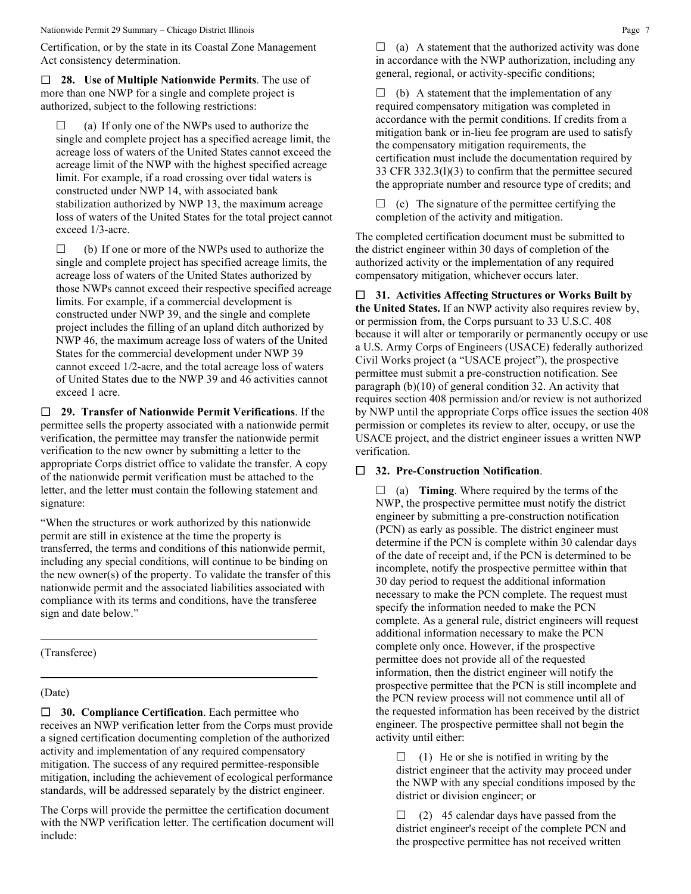Nationwide Permit 29 Summary – Chicago District Illinois **Page 7** Page 7

Certification, or by the state in its Coastal Zone Management Act consistency determination.

 **28. Use of Multiple Nationwide Permits**. The use of more than one NWP for a single and complete project is authorized, subject to the following restrictions:

 $\Box$  (a) If only one of the NWPs used to authorize the single and complete project has a specified acreage limit, the acreage loss of waters of the United States cannot exceed the acreage limit of the NWP with the highest specified acreage limit. For example, if a road crossing over tidal waters is constructed under NWP 14, with associated bank stabilization authorized by NWP 13, the maximum acreage loss of waters of the United States for the total project cannot exceed 1/3-acre.

 $\Box$  (b) If one or more of the NWPs used to authorize the single and complete project has specified acreage limits, the acreage loss of waters of the United States authorized by those NWPs cannot exceed their respective specified acreage limits. For example, if a commercial development is constructed under NWP 39, and the single and complete project includes the filling of an upland ditch authorized by NWP 46, the maximum acreage loss of waters of the United States for the commercial development under NWP 39 cannot exceed 1/2-acre, and the total acreage loss of waters of United States due to the NWP 39 and 46 activities cannot exceed 1 acre.

 **29. Transfer of Nationwide Permit Verifications**. If the permittee sells the property associated with a nationwide permit verification, the permittee may transfer the nationwide permit verification to the new owner by submitting a letter to the appropriate Corps district office to validate the transfer. A copy of the nationwide permit verification must be attached to the letter, and the letter must contain the following statement and signature:

"When the structures or work authorized by this nationwide permit are still in existence at the time the property is transferred, the terms and conditions of this nationwide permit, including any special conditions, will continue to be binding on the new owner(s) of the property. To validate the transfer of this nationwide permit and the associated liabilities associated with compliance with its terms and conditions, have the transferee sign and date below."

(Transferee)

#### (Date)

 **30. Compliance Certification**. Each permittee who receives an NWP verification letter from the Corps must provide a signed certification documenting completion of the authorized activity and implementation of any required compensatory mitigation. The success of any required permittee-responsible mitigation, including the achievement of ecological performance standards, will be addressed separately by the district engineer.

The Corps will provide the permittee the certification document with the NWP verification letter. The certification document will include:

 $\Box$  (a) A statement that the authorized activity was done in accordance with the NWP authorization, including any general, regional, or activity-specific conditions;

 $\Box$  (b) A statement that the implementation of any required compensatory mitigation was completed in accordance with the permit conditions. If credits from a mitigation bank or in-lieu fee program are used to satisfy the compensatory mitigation requirements, the certification must include the documentation required by 33 CFR 332.3(l)(3) to confirm that the permittee secured the appropriate number and resource type of credits; and

 $\Box$  (c) The signature of the permittee certifying the completion of the activity and mitigation.

The completed certification document must be submitted to the district engineer within 30 days of completion of the authorized activity or the implementation of any required compensatory mitigation, whichever occurs later.

 **31. Activities Affecting Structures or Works Built by the United States.** If an NWP activity also requires review by, or permission from, the Corps pursuant to 33 U.S.C. 408 because it will alter or temporarily or permanently occupy or use a U.S. Army Corps of Engineers (USACE) federally authorized Civil Works project (a "USACE project"), the prospective permittee must submit a pre-construction notification. See paragraph (b)(10) of general condition 32. An activity that requires section 408 permission and/or review is not authorized by NWP until the appropriate Corps office issues the section 408 permission or completes its review to alter, occupy, or use the USACE project, and the district engineer issues a written NWP verification.

## **32. Pre-Construction Notification**.

 $\Box$  (a) **Timing**. Where required by the terms of the NWP, the prospective permittee must notify the district engineer by submitting a pre-construction notification (PCN) as early as possible. The district engineer must determine if the PCN is complete within 30 calendar days of the date of receipt and, if the PCN is determined to be incomplete, notify the prospective permittee within that 30 day period to request the additional information necessary to make the PCN complete. The request must specify the information needed to make the PCN complete. As a general rule, district engineers will request additional information necessary to make the PCN complete only once. However, if the prospective permittee does not provide all of the requested information, then the district engineer will notify the prospective permittee that the PCN is still incomplete and the PCN review process will not commence until all of the requested information has been received by the district engineer. The prospective permittee shall not begin the activity until either:

 $\Box$  (1) He or she is notified in writing by the district engineer that the activity may proceed under the NWP with any special conditions imposed by the district or division engineer; or

 $\Box$  (2) 45 calendar days have passed from the district engineer's receipt of the complete PCN and the prospective permittee has not received written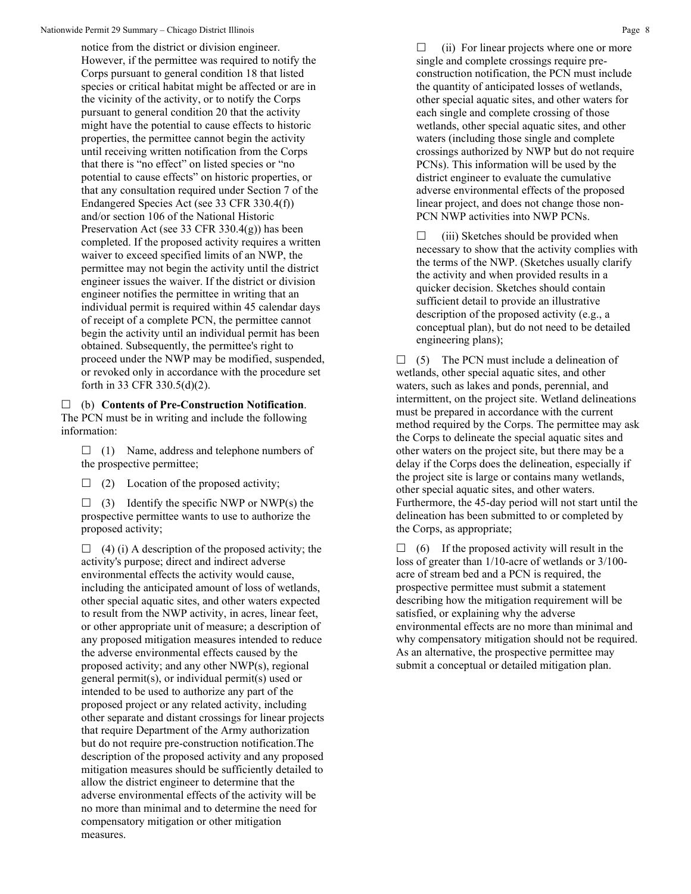Nationwide Permit 29 Summary – Chicago District Illinois **Page 8** 8

notice from the district or division engineer. However, if the permittee was required to notify the Corps pursuant to general condition 18 that listed species or critical habitat might be affected or are in the vicinity of the activity, or to notify the Corps pursuant to general condition 20 that the activity might have the potential to cause effects to historic properties, the permittee cannot begin the activity until receiving written notification from the Corps that there is "no effect" on listed species or "no potential to cause effects" on historic properties, or that any consultation required under Section 7 of the Endangered Species Act (see 33 CFR 330.4(f)) and/or section 106 of the National Historic Preservation Act (see 33 CFR 330.4(g)) has been completed. If the proposed activity requires a written waiver to exceed specified limits of an NWP, the permittee may not begin the activity until the district engineer issues the waiver. If the district or division engineer notifies the permittee in writing that an individual permit is required within 45 calendar days of receipt of a complete PCN, the permittee cannot begin the activity until an individual permit has been obtained. Subsequently, the permittee's right to proceed under the NWP may be modified, suspended, or revoked only in accordance with the procedure set forth in 33 CFR 330.5(d)(2).

 (b) **Contents of Pre-Construction Notification**. The PCN must be in writing and include the following information:

 $\Box$  (1) Name, address and telephone numbers of the prospective permittee;

 $\Box$  (2) Location of the proposed activity;

 $\Box$  (3) Identify the specific NWP or NWP(s) the prospective permittee wants to use to authorize the proposed activity;

 $\Box$  (4) (i) A description of the proposed activity; the activity's purpose; direct and indirect adverse environmental effects the activity would cause, including the anticipated amount of loss of wetlands, other special aquatic sites, and other waters expected to result from the NWP activity, in acres, linear feet, or other appropriate unit of measure; a description of any proposed mitigation measures intended to reduce the adverse environmental effects caused by the proposed activity; and any other NWP(s), regional general permit(s), or individual permit(s) used or intended to be used to authorize any part of the proposed project or any related activity, including other separate and distant crossings for linear projects that require Department of the Army authorization but do not require pre-construction notification.The description of the proposed activity and any proposed mitigation measures should be sufficiently detailed to allow the district engineer to determine that the adverse environmental effects of the activity will be no more than minimal and to determine the need for compensatory mitigation or other mitigation measures.

 $\Box$  (ii) For linear projects where one or more single and complete crossings require preconstruction notification, the PCN must include the quantity of anticipated losses of wetlands, other special aquatic sites, and other waters for each single and complete crossing of those wetlands, other special aquatic sites, and other waters (including those single and complete crossings authorized by NWP but do not require PCNs). This information will be used by the district engineer to evaluate the cumulative adverse environmental effects of the proposed linear project, and does not change those non-PCN NWP activities into NWP PCNs.

 $\Box$  (iii) Sketches should be provided when necessary to show that the activity complies with the terms of the NWP. (Sketches usually clarify the activity and when provided results in a quicker decision. Sketches should contain sufficient detail to provide an illustrative description of the proposed activity (e.g., a conceptual plan), but do not need to be detailed engineering plans);

 $\Box$  (5) The PCN must include a delineation of wetlands, other special aquatic sites, and other waters, such as lakes and ponds, perennial, and intermittent, on the project site. Wetland delineations must be prepared in accordance with the current method required by the Corps. The permittee may ask the Corps to delineate the special aquatic sites and other waters on the project site, but there may be a delay if the Corps does the delineation, especially if the project site is large or contains many wetlands, other special aquatic sites, and other waters. Furthermore, the 45-day period will not start until the delineation has been submitted to or completed by the Corps, as appropriate;

 $\Box$  (6) If the proposed activity will result in the loss of greater than 1/10-acre of wetlands or 3/100 acre of stream bed and a PCN is required, the prospective permittee must submit a statement describing how the mitigation requirement will be satisfied, or explaining why the adverse environmental effects are no more than minimal and why compensatory mitigation should not be required. As an alternative, the prospective permittee may submit a conceptual or detailed mitigation plan.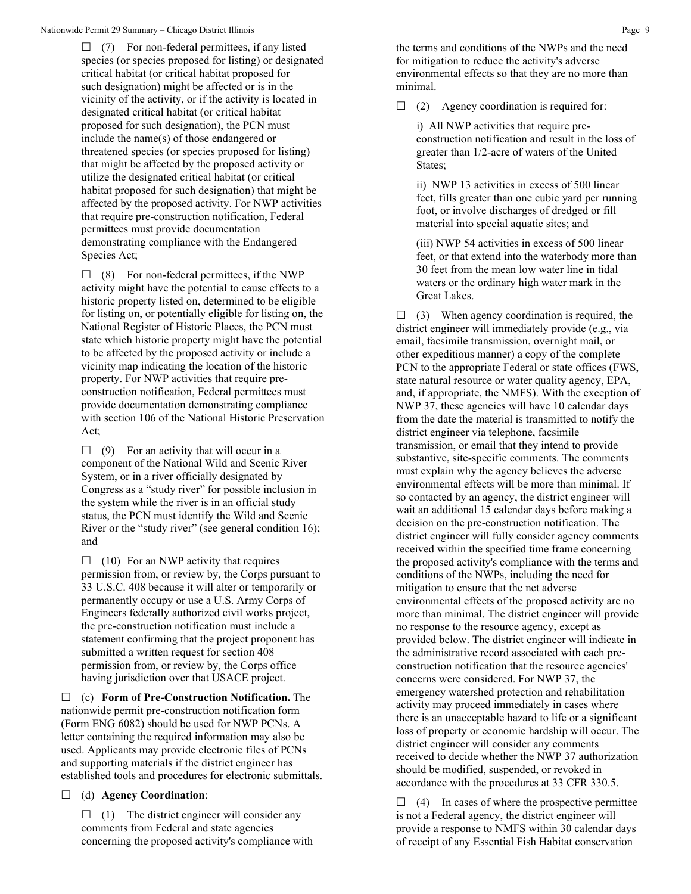$\Box$  (7) For non-federal permittees, if any listed species (or species proposed for listing) or designated critical habitat (or critical habitat proposed for such designation) might be affected or is in the vicinity of the activity, or if the activity is located in designated critical habitat (or critical habitat proposed for such designation), the PCN must include the name(s) of those endangered or threatened species (or species proposed for listing) that might be affected by the proposed activity or utilize the designated critical habitat (or critical habitat proposed for such designation) that might be affected by the proposed activity. For NWP activities that require pre-construction notification, Federal permittees must provide documentation demonstrating compliance with the Endangered Species Act;

 $\Box$  (8) For non-federal permittees, if the NWP activity might have the potential to cause effects to a historic property listed on, determined to be eligible for listing on, or potentially eligible for listing on, the National Register of Historic Places, the PCN must state which historic property might have the potential to be affected by the proposed activity or include a vicinity map indicating the location of the historic property. For NWP activities that require preconstruction notification, Federal permittees must provide documentation demonstrating compliance with section 106 of the National Historic Preservation Act;

 $\Box$  (9) For an activity that will occur in a component of the National Wild and Scenic River System, or in a river officially designated by Congress as a "study river" for possible inclusion in the system while the river is in an official study status, the PCN must identify the Wild and Scenic River or the "study river" (see general condition 16); and

 $\Box$  (10) For an NWP activity that requires permission from, or review by, the Corps pursuant to 33 U.S.C. 408 because it will alter or temporarily or permanently occupy or use a U.S. Army Corps of Engineers federally authorized civil works project, the pre-construction notification must include a statement confirming that the project proponent has submitted a written request for section 408 permission from, or review by, the Corps office having jurisdiction over that USACE project.

 (c) **Form of Pre-Construction Notification.** The nationwide permit pre-construction notification form (Form ENG 6082) should be used for NWP PCNs. A letter containing the required information may also be used. Applicants may provide electronic files of PCNs and supporting materials if the district engineer has established tools and procedures for electronic submittals.

(d) **Agency Coordination**:

 $\Box$  (1) The district engineer will consider any comments from Federal and state agencies concerning the proposed activity's compliance with the terms and conditions of the NWPs and the need for mitigation to reduce the activity's adverse environmental effects so that they are no more than minimal.

 $\Box$  (2) Agency coordination is required for:

i) All NWP activities that require preconstruction notification and result in the loss of greater than 1/2-acre of waters of the United States;

ii) NWP 13 activities in excess of 500 linear feet, fills greater than one cubic yard per running foot, or involve discharges of dredged or fill material into special aquatic sites; and

(iii) NWP 54 activities in excess of 500 linear feet, or that extend into the waterbody more than 30 feet from the mean low water line in tidal waters or the ordinary high water mark in the Great Lakes.

 $\Box$  (3) When agency coordination is required, the district engineer will immediately provide (e.g., via email, facsimile transmission, overnight mail, or other expeditious manner) a copy of the complete PCN to the appropriate Federal or state offices (FWS, state natural resource or water quality agency, EPA, and, if appropriate, the NMFS). With the exception of NWP 37, these agencies will have 10 calendar days from the date the material is transmitted to notify the district engineer via telephone, facsimile transmission, or email that they intend to provide substantive, site-specific comments. The comments must explain why the agency believes the adverse environmental effects will be more than minimal. If so contacted by an agency, the district engineer will wait an additional 15 calendar days before making a decision on the pre-construction notification. The district engineer will fully consider agency comments received within the specified time frame concerning the proposed activity's compliance with the terms and conditions of the NWPs, including the need for mitigation to ensure that the net adverse environmental effects of the proposed activity are no more than minimal. The district engineer will provide no response to the resource agency, except as provided below. The district engineer will indicate in the administrative record associated with each preconstruction notification that the resource agencies' concerns were considered. For NWP 37, the emergency watershed protection and rehabilitation activity may proceed immediately in cases where there is an unacceptable hazard to life or a significant loss of property or economic hardship will occur. The district engineer will consider any comments received to decide whether the NWP 37 authorization should be modified, suspended, or revoked in accordance with the procedures at 33 CFR 330.5.

 $\Box$  (4) In cases of where the prospective permittee is not a Federal agency, the district engineer will provide a response to NMFS within 30 calendar days of receipt of any Essential Fish Habitat conservation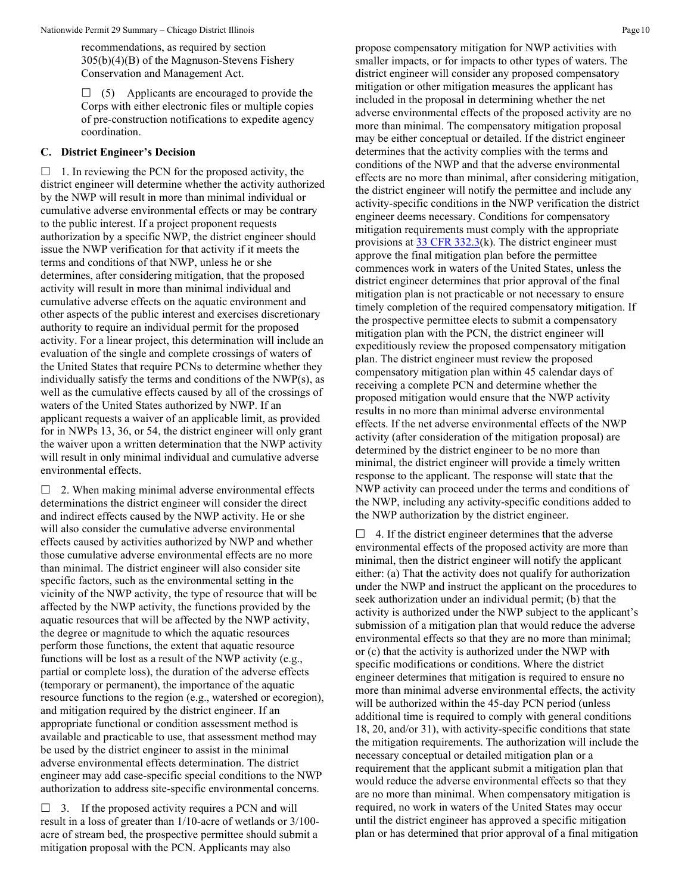recommendations, as required by section 305(b)(4)(B) of the Magnuson-Stevens Fishery Conservation and Management Act.

 $\Box$  (5) Applicants are encouraged to provide the Corps with either electronic files or multiple copies of pre-construction notifications to expedite agency coordination.

#### **C. District Engineer's Decision**

 $\Box$  1. In reviewing the PCN for the proposed activity, the district engineer will determine whether the activity authorized by the NWP will result in more than minimal individual or cumulative adverse environmental effects or may be contrary to the public interest. If a project proponent requests authorization by a specific NWP, the district engineer should issue the NWP verification for that activity if it meets the terms and conditions of that NWP, unless he or she determines, after considering mitigation, that the proposed activity will result in more than minimal individual and cumulative adverse effects on the aquatic environment and other aspects of the public interest and exercises discretionary authority to require an individual permit for the proposed activity. For a linear project, this determination will include an evaluation of the single and complete crossings of waters of the United States that require PCNs to determine whether they individually satisfy the terms and conditions of the NWP(s), as well as the cumulative effects caused by all of the crossings of waters of the United States authorized by NWP. If an applicant requests a waiver of an applicable limit, as provided for in NWPs 13, 36, or 54, the district engineer will only grant the waiver upon a written determination that the NWP activity will result in only minimal individual and cumulative adverse environmental effects.

 $\Box$  2. When making minimal adverse environmental effects determinations the district engineer will consider the direct and indirect effects caused by the NWP activity. He or she will also consider the cumulative adverse environmental effects caused by activities authorized by NWP and whether those cumulative adverse environmental effects are no more than minimal. The district engineer will also consider site specific factors, such as the environmental setting in the vicinity of the NWP activity, the type of resource that will be affected by the NWP activity, the functions provided by the aquatic resources that will be affected by the NWP activity, the degree or magnitude to which the aquatic resources perform those functions, the extent that aquatic resource functions will be lost as a result of the NWP activity (e.g., partial or complete loss), the duration of the adverse effects (temporary or permanent), the importance of the aquatic resource functions to the region (e.g., watershed or ecoregion), and mitigation required by the district engineer. If an appropriate functional or condition assessment method is available and practicable to use, that assessment method may be used by the district engineer to assist in the minimal adverse environmental effects determination. The district engineer may add case-specific special conditions to the NWP authorization to address site-specific environmental concerns.

 $\Box$  3. If the proposed activity requires a PCN and will result in a loss of greater than 1/10-acre of wetlands or 3/100 acre of stream bed, the prospective permittee should submit a mitigation proposal with the PCN. Applicants may also

propose compensatory mitigation for NWP activities with smaller impacts, or for impacts to other types of waters. The district engineer will consider any proposed compensatory mitigation or other mitigation measures the applicant has included in the proposal in determining whether the net adverse environmental effects of the proposed activity are no more than minimal. The compensatory mitigation proposal may be either conceptual or detailed. If the district engineer determines that the activity complies with the terms and conditions of the NWP and that the adverse environmental effects are no more than minimal, after considering mitigation, the district engineer will notify the permittee and include any activity-specific conditions in the NWP verification the district engineer deems necessary. Conditions for compensatory mitigation requirements must comply with the appropriate provisions at  $33 \text{ CFR } 332.3(k)$ . The district engineer must approve the final mitigation plan before the permittee commences work in waters of the United States, unless the district engineer determines that prior approval of the final mitigation plan is not practicable or not necessary to ensure timely completion of the required compensatory mitigation. If the prospective permittee elects to submit a compensatory mitigation plan with the PCN, the district engineer will expeditiously review the proposed compensatory mitigation plan. The district engineer must review the proposed compensatory mitigation plan within 45 calendar days of receiving a complete PCN and determine whether the proposed mitigation would ensure that the NWP activity results in no more than minimal adverse environmental effects. If the net adverse environmental effects of the NWP activity (after consideration of the mitigation proposal) are determined by the district engineer to be no more than minimal, the district engineer will provide a timely written response to the applicant. The response will state that the NWP activity can proceed under the terms and conditions of the NWP, including any activity-specific conditions added to the NWP authorization by the district engineer.

 $\Box$  4. If the district engineer determines that the adverse environmental effects of the proposed activity are more than minimal, then the district engineer will notify the applicant either: (a) That the activity does not qualify for authorization under the NWP and instruct the applicant on the procedures to seek authorization under an individual permit; (b) that the activity is authorized under the NWP subject to the applicant's submission of a mitigation plan that would reduce the adverse environmental effects so that they are no more than minimal; or (c) that the activity is authorized under the NWP with specific modifications or conditions. Where the district engineer determines that mitigation is required to ensure no more than minimal adverse environmental effects, the activity will be authorized within the 45-day PCN period (unless additional time is required to comply with general conditions 18, 20, and/or 31), with activity-specific conditions that state the mitigation requirements. The authorization will include the necessary conceptual or detailed mitigation plan or a requirement that the applicant submit a mitigation plan that would reduce the adverse environmental effects so that they are no more than minimal. When compensatory mitigation is required, no work in waters of the United States may occur until the district engineer has approved a specific mitigation plan or has determined that prior approval of a final mitigation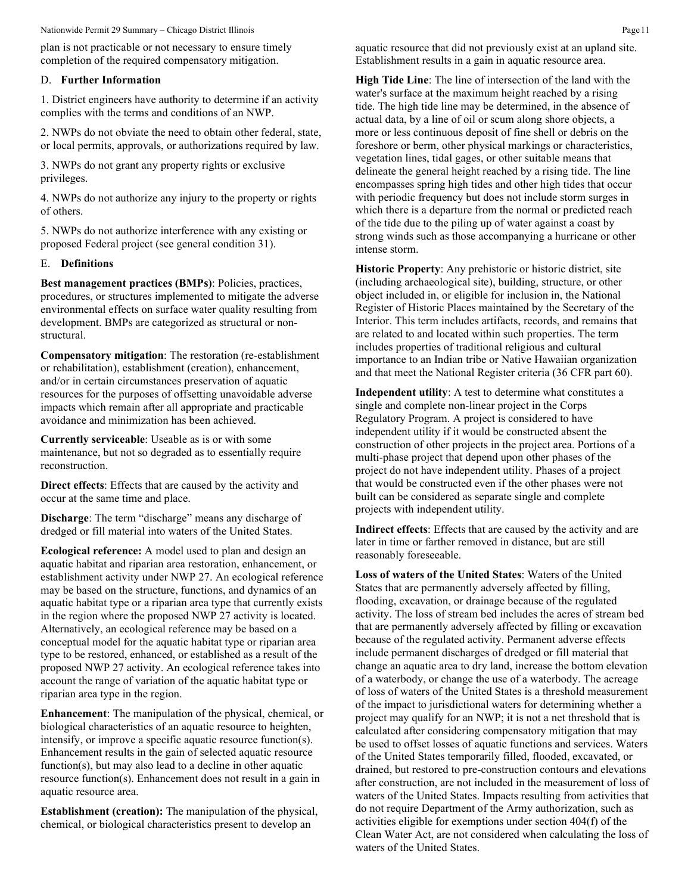plan is not practicable or not necessary to ensure timely completion of the required compensatory mitigation.

#### D. **Further Information**

1. District engineers have authority to determine if an activity complies with the terms and conditions of an NWP.

2. NWPs do not obviate the need to obtain other federal, state, or local permits, approvals, or authorizations required by law.

3. NWPs do not grant any property rights or exclusive privileges.

4. NWPs do not authorize any injury to the property or rights of others.

5. NWPs do not authorize interference with any existing or proposed Federal project (see general condition 31).

#### E. **Definitions**

**Best management practices (BMPs)**: Policies, practices, procedures, or structures implemented to mitigate the adverse environmental effects on surface water quality resulting from development. BMPs are categorized as structural or nonstructural.

**Compensatory mitigation**: The restoration (re-establishment or rehabilitation), establishment (creation), enhancement, and/or in certain circumstances preservation of aquatic resources for the purposes of offsetting unavoidable adverse impacts which remain after all appropriate and practicable avoidance and minimization has been achieved.

**Currently serviceable**: Useable as is or with some maintenance, but not so degraded as to essentially require reconstruction.

**Direct effects**: Effects that are caused by the activity and occur at the same time and place.

**Discharge**: The term "discharge" means any discharge of dredged or fill material into waters of the United States.

**Ecological reference:** A model used to plan and design an aquatic habitat and riparian area restoration, enhancement, or establishment activity under NWP 27. An ecological reference may be based on the structure, functions, and dynamics of an aquatic habitat type or a riparian area type that currently exists in the region where the proposed NWP 27 activity is located. Alternatively, an ecological reference may be based on a conceptual model for the aquatic habitat type or riparian area type to be restored, enhanced, or established as a result of the proposed NWP 27 activity. An ecological reference takes into account the range of variation of the aquatic habitat type or riparian area type in the region.

**Enhancement**: The manipulation of the physical, chemical, or biological characteristics of an aquatic resource to heighten, intensify, or improve a specific aquatic resource function(s). Enhancement results in the gain of selected aquatic resource function(s), but may also lead to a decline in other aquatic resource function(s). Enhancement does not result in a gain in aquatic resource area.

**Establishment (creation):** The manipulation of the physical, chemical, or biological characteristics present to develop an

aquatic resource that did not previously exist at an upland site. Establishment results in a gain in aquatic resource area.

**High Tide Line**: The line of intersection of the land with the water's surface at the maximum height reached by a rising tide. The high tide line may be determined, in the absence of actual data, by a line of oil or scum along shore objects, a more or less continuous deposit of fine shell or debris on the foreshore or berm, other physical markings or characteristics, vegetation lines, tidal gages, or other suitable means that delineate the general height reached by a rising tide. The line encompasses spring high tides and other high tides that occur with periodic frequency but does not include storm surges in which there is a departure from the normal or predicted reach of the tide due to the piling up of water against a coast by strong winds such as those accompanying a hurricane or other intense storm.

**Historic Property**: Any prehistoric or historic district, site (including archaeological site), building, structure, or other object included in, or eligible for inclusion in, the National Register of Historic Places maintained by the Secretary of the Interior. This term includes artifacts, records, and remains that are related to and located within such properties. The term includes properties of traditional religious and cultural importance to an Indian tribe or Native Hawaiian organization and that meet the National Register criteria (36 CFR part 60).

**Independent utility**: A test to determine what constitutes a single and complete non-linear project in the Corps Regulatory Program. A project is considered to have independent utility if it would be constructed absent the construction of other projects in the project area. Portions of a multi-phase project that depend upon other phases of the project do not have independent utility. Phases of a project that would be constructed even if the other phases were not built can be considered as separate single and complete projects with independent utility.

**Indirect effects**: Effects that are caused by the activity and are later in time or farther removed in distance, but are still reasonably foreseeable.

**Loss of waters of the United States**: Waters of the United States that are permanently adversely affected by filling, flooding, excavation, or drainage because of the regulated activity. The loss of stream bed includes the acres of stream bed that are permanently adversely affected by filling or excavation because of the regulated activity. Permanent adverse effects include permanent discharges of dredged or fill material that change an aquatic area to dry land, increase the bottom elevation of a waterbody, or change the use of a waterbody. The acreage of loss of waters of the United States is a threshold measurement of the impact to jurisdictional waters for determining whether a project may qualify for an NWP; it is not a net threshold that is calculated after considering compensatory mitigation that may be used to offset losses of aquatic functions and services. Waters of the United States temporarily filled, flooded, excavated, or drained, but restored to pre-construction contours and elevations after construction, are not included in the measurement of loss of waters of the United States. Impacts resulting from activities that do not require Department of the Army authorization, such as activities eligible for exemptions under section 404(f) of the Clean Water Act, are not considered when calculating the loss of waters of the United States.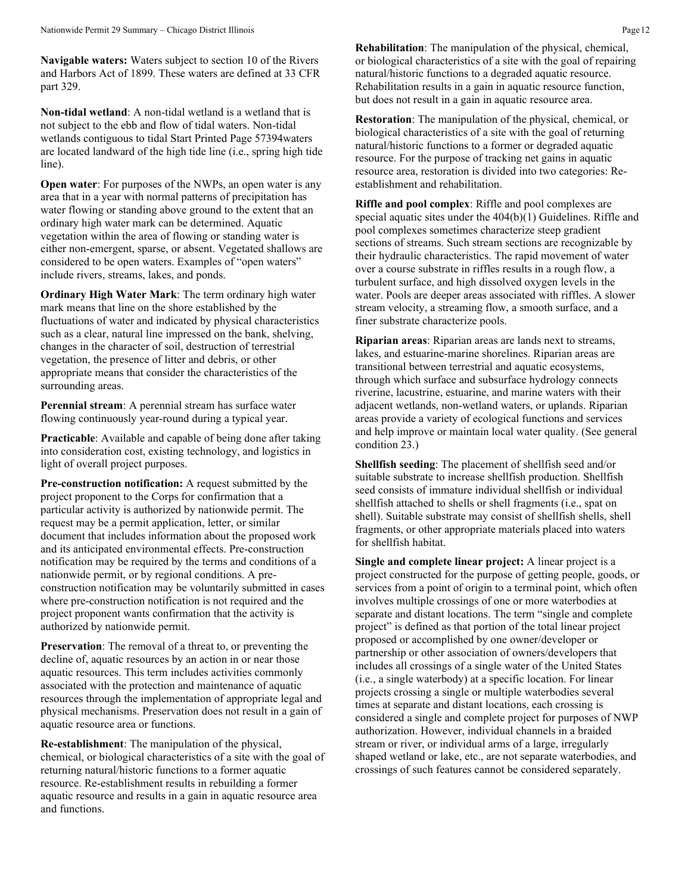**Navigable waters:** Waters subject to section 10 of the Rivers and Harbors Act of 1899. These waters are defined at 33 CFR part 329.

**Non-tidal wetland**: A non-tidal wetland is a wetland that is not subject to the ebb and flow of tidal waters. Non-tidal wetlands contiguous to tidal Start Printed Page 57394waters are located landward of the high tide line (i.e., spring high tide line).

**Open water:** For purposes of the NWPs, an open water is any area that in a year with normal patterns of precipitation has water flowing or standing above ground to the extent that an ordinary high water mark can be determined. Aquatic vegetation within the area of flowing or standing water is either non-emergent, sparse, or absent. Vegetated shallows are considered to be open waters. Examples of "open waters" include rivers, streams, lakes, and ponds.

**Ordinary High Water Mark**: The term ordinary high water mark means that line on the shore established by the fluctuations of water and indicated by physical characteristics such as a clear, natural line impressed on the bank, shelving, changes in the character of soil, destruction of terrestrial vegetation, the presence of litter and debris, or other appropriate means that consider the characteristics of the surrounding areas.

**Perennial stream**: A perennial stream has surface water flowing continuously year-round during a typical year.

**Practicable**: Available and capable of being done after taking into consideration cost, existing technology, and logistics in light of overall project purposes.

**Pre-construction notification:** A request submitted by the project proponent to the Corps for confirmation that a particular activity is authorized by nationwide permit. The request may be a permit application, letter, or similar document that includes information about the proposed work and its anticipated environmental effects. Pre-construction notification may be required by the terms and conditions of a nationwide permit, or by regional conditions. A preconstruction notification may be voluntarily submitted in cases where pre-construction notification is not required and the project proponent wants confirmation that the activity is authorized by nationwide permit.

**Preservation**: The removal of a threat to, or preventing the decline of, aquatic resources by an action in or near those aquatic resources. This term includes activities commonly associated with the protection and maintenance of aquatic resources through the implementation of appropriate legal and physical mechanisms. Preservation does not result in a gain of aquatic resource area or functions.

**Re-establishment**: The manipulation of the physical, chemical, or biological characteristics of a site with the goal of returning natural/historic functions to a former aquatic resource. Re-establishment results in rebuilding a former aquatic resource and results in a gain in aquatic resource area and functions.

**Rehabilitation**: The manipulation of the physical, chemical, or biological characteristics of a site with the goal of repairing natural/historic functions to a degraded aquatic resource. Rehabilitation results in a gain in aquatic resource function, but does not result in a gain in aquatic resource area.

**Restoration**: The manipulation of the physical, chemical, or biological characteristics of a site with the goal of returning natural/historic functions to a former or degraded aquatic resource. For the purpose of tracking net gains in aquatic resource area, restoration is divided into two categories: Reestablishment and rehabilitation.

**Riffle and pool complex**: Riffle and pool complexes are special aquatic sites under the 404(b)(1) Guidelines. Riffle and pool complexes sometimes characterize steep gradient sections of streams. Such stream sections are recognizable by their hydraulic characteristics. The rapid movement of water over a course substrate in riffles results in a rough flow, a turbulent surface, and high dissolved oxygen levels in the water. Pools are deeper areas associated with riffles. A slower stream velocity, a streaming flow, a smooth surface, and a finer substrate characterize pools.

**Riparian areas**: Riparian areas are lands next to streams, lakes, and estuarine-marine shorelines. Riparian areas are transitional between terrestrial and aquatic ecosystems, through which surface and subsurface hydrology connects riverine, lacustrine, estuarine, and marine waters with their adjacent wetlands, non-wetland waters, or uplands. Riparian areas provide a variety of ecological functions and services and help improve or maintain local water quality. (See general condition 23.)

**Shellfish seeding**: The placement of shellfish seed and/or suitable substrate to increase shellfish production. Shellfish seed consists of immature individual shellfish or individual shellfish attached to shells or shell fragments (i.e., spat on shell). Suitable substrate may consist of shellfish shells, shell fragments, or other appropriate materials placed into waters for shellfish habitat.

**Single and complete linear project:** A linear project is a project constructed for the purpose of getting people, goods, or services from a point of origin to a terminal point, which often involves multiple crossings of one or more waterbodies at separate and distant locations. The term "single and complete project" is defined as that portion of the total linear project proposed or accomplished by one owner/developer or partnership or other association of owners/developers that includes all crossings of a single water of the United States (i.e., a single waterbody) at a specific location. For linear projects crossing a single or multiple waterbodies several times at separate and distant locations, each crossing is considered a single and complete project for purposes of NWP authorization. However, individual channels in a braided stream or river, or individual arms of a large, irregularly shaped wetland or lake, etc., are not separate waterbodies, and crossings of such features cannot be considered separately.